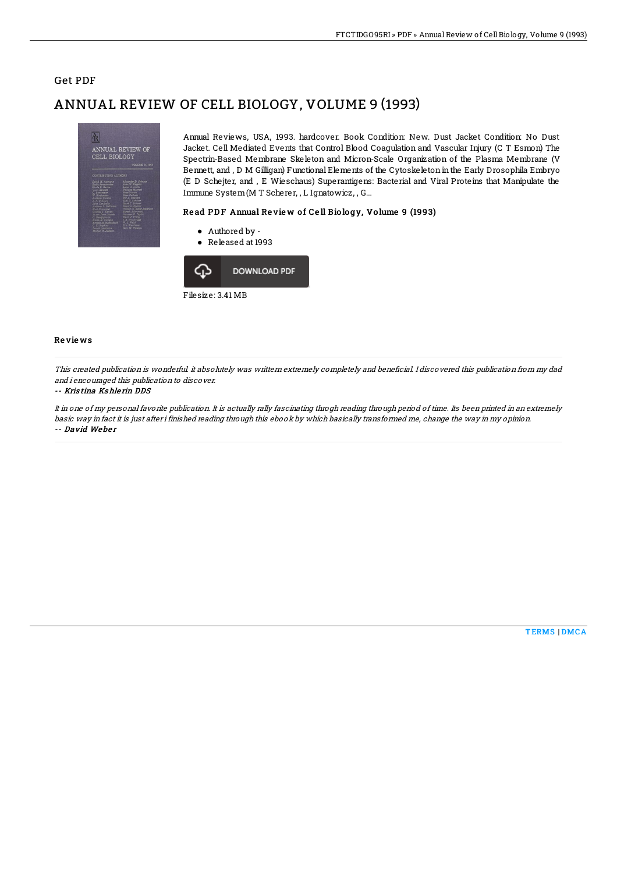## **Get PDF**

# ANNUAL REVIEW OF CELL BIOLOGY, VOLUME 9 (1993)



Annual Reviews, USA, 1993. hardcover. Book Condition: New. Dust Jacket Condition: No Dust Jacket. Cell Mediated Events that Control Blood Coagulation and Vascular Injury (C T Esmon) The Spectrin-Based Membrane Skeleton and Micron-Scale Organization of the Plasma Membrane (V Bennett, and, D M Gilligan) Functional Elements of the Cytoskeleton in the Early Drosophila Embryo (E D Schejter, and , E Wieschaus) Superantigens: Bacterial and Viral Proteins that Manipulate the Immune System (M T Scherer, , L Ignatowicz, , G...

#### Read PDF Annual Review of Cell Biology, Volume 9 (1993)

- Authored by -
- Released at 1993



#### Reviews

This created publication is wonderful. it absolutely was writtem extremely completely and beneficial. I discovered this publication from my dad and i encouraged this publication to discover.

### -- Kristina Kshlerin DDS

It in one of my personal favorite publication. It is actually rally fascinating throgh reading through period of time. Its been printed in an extremely basic way in fact it is just after i finished reading through this ebook by which basically transformed me, change the way in my opinion. -- David Weber